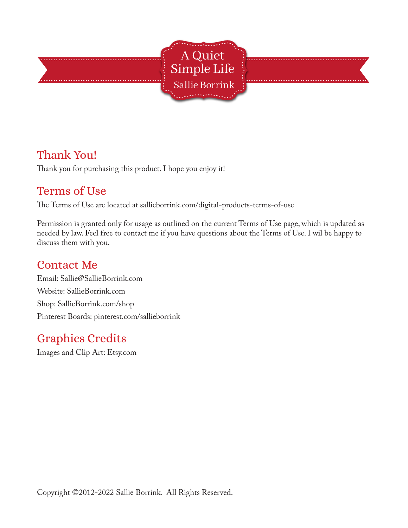

## Thank You!

Thank you for purchasing this product. I hope you enjoy it!

## Terms of Use

The Terms of Use are located at sallieborrink.com/digital-products-terms-of-use

Permission is granted only for usage as outlined on the current Terms of Use page, which is updated as needed by law. Feel free to contact me if you have questions about the Terms of Use. I wil be happy to discuss them with you.

#### Contact Me

Email: Sallie@SallieBorrink.com Website: SallieBorrink.com Shop: SallieBorrink.com/shop Pinterest Boards: pinterest.com/sallieborrink

# Graphics Credits

Images and Clip Art: Etsy.com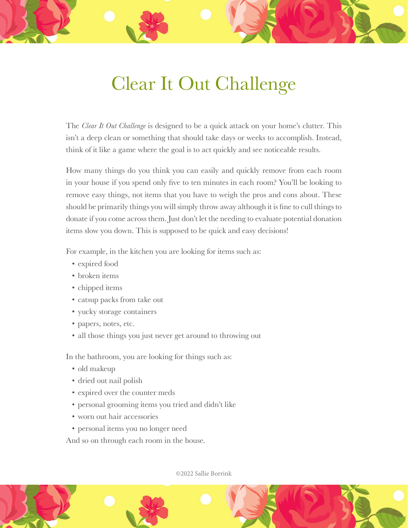# Clear It Out Challenge

The *Clear It Out Challenge* is designed to be a quick attack on your home's clutter. This isn't a deep clean or something that should take days or weeks to accomplish. Instead, think of it like a game where the goal is to act quickly and see noticeable results.

How many things do you think you can easily and quickly remove from each room in your house if you spend only five to ten minutes in each room? You'll be looking to remove easy things, not items that you have to weigh the pros and cons about. These should be primarily things you will simply throw away although it is fine to cull things to donate if you come across them. Just don't let the needing to evaluate potential donation items slow you down. This is supposed to be quick and easy decisions!

For example, in the kitchen you are looking for items such as:

- expired food
- broken items
- chipped items
- catsup packs from take out
- yucky storage containers
- papers, notes, etc.
- all those things you just never get around to throwing out

In the bathroom, you are looking for things such as:

- old makeup
- dried out nail polish
- expired over the counter meds
- personal grooming items you tried and didn't like
- worn out hair accessories
- personal items you no longer need

And so on through each room in the house.

©2022 Sallie Borrink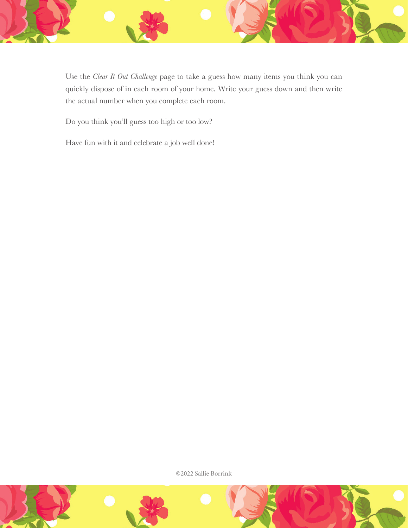

Use the *Clear It Out Challenge* page to take a guess how many items you think you can quickly dispose of in each room of your home. Write your guess down and then write the actual number when you complete each room.

Do you think you'll guess too high or too low?

Have fun with it and celebrate a job well done!